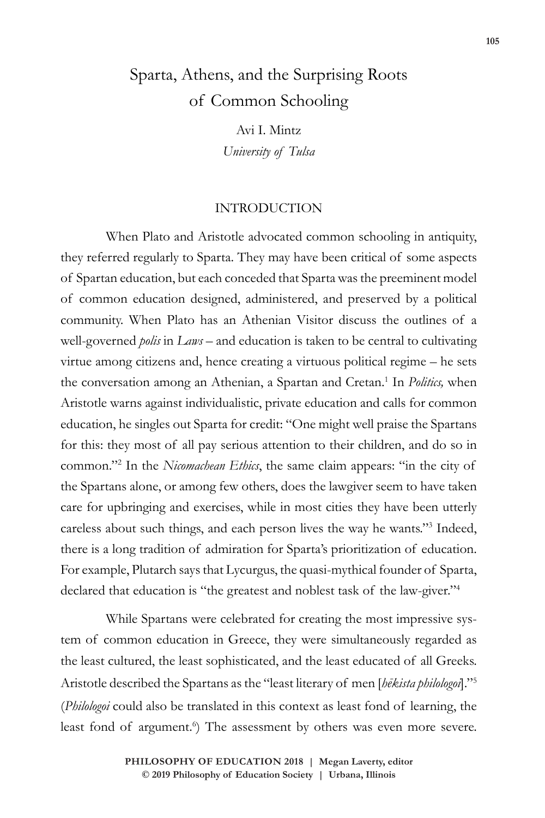# Sparta, Athens, and the Surprising Roots of Common Schooling

Avi I. Mintz *University of Tulsa*

### INTRODUCTION

When Plato and Aristotle advocated common schooling in antiquity, they referred regularly to Sparta. They may have been critical of some aspects of Spartan education, but each conceded that Sparta was the preeminent model of common education designed, administered, and preserved by a political community. When Plato has an Athenian Visitor discuss the outlines of a well-governed *polis* in *Laws* – and education is taken to be central to cultivating virtue among citizens and, hence creating a virtuous political regime – he sets the conversation among an Athenian, a Spartan and Cretan.<sup>1</sup> In *Politics*, when Aristotle warns against individualistic, private education and calls for common education, he singles out Sparta for credit: "One might well praise the Spartans for this: they most of all pay serious attention to their children, and do so in common."<sup>2</sup> In the *Nicomachean Ethics*, the same claim appears: "in the city of the Spartans alone, or among few others, does the lawgiver seem to have taken care for upbringing and exercises, while in most cities they have been utterly careless about such things, and each person lives the way he wants."3 Indeed, there is a long tradition of admiration for Sparta's prioritization of education. For example, Plutarch says that Lycurgus, the quasi-mythical founder of Sparta, declared that education is "the greatest and noblest task of the law-giver."4

While Spartans were celebrated for creating the most impressive system of common education in Greece, they were simultaneously regarded as the least cultured, the least sophisticated, and the least educated of all Greeks. Aristotle described the Spartans as the "least literary of men [*hēkista philologoi*]."5 (*Philologoi* could also be translated in this context as least fond of learning, the least fond of argument.<sup>6</sup>) The assessment by others was even more severe.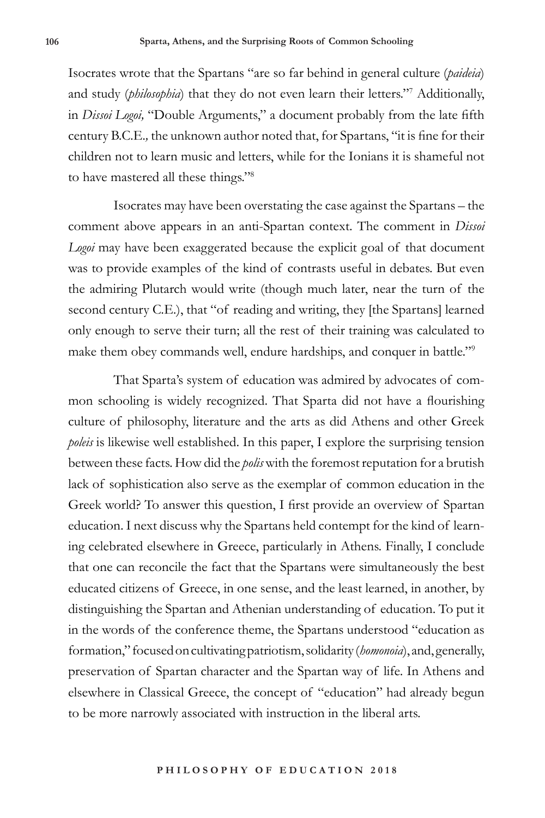Isocrates wrote that the Spartans "are so far behind in general culture (*paideia*) and study (*philosophia*) that they do not even learn their letters."7 Additionally, in *Dissoi Logoi,* "Double Arguments," a document probably from the late fifth century B.C.E.*,* the unknown author noted that, for Spartans, "it is fine for their children not to learn music and letters, while for the Ionians it is shameful not to have mastered all these things."8

Isocrates may have been overstating the case against the Spartans – the comment above appears in an anti-Spartan context. The comment in *Dissoi Logoi* may have been exaggerated because the explicit goal of that document was to provide examples of the kind of contrasts useful in debates. But even the admiring Plutarch would write (though much later, near the turn of the second century C.E.), that "of reading and writing, they [the Spartans] learned only enough to serve their turn; all the rest of their training was calculated to make them obey commands well, endure hardships, and conquer in battle."9

That Sparta's system of education was admired by advocates of common schooling is widely recognized. That Sparta did not have a flourishing culture of philosophy, literature and the arts as did Athens and other Greek *poleis* is likewise well established. In this paper, I explore the surprising tension between these facts. How did the *polis* with the foremost reputation for a brutish lack of sophistication also serve as the exemplar of common education in the Greek world? To answer this question, I first provide an overview of Spartan education. I next discuss why the Spartans held contempt for the kind of learning celebrated elsewhere in Greece, particularly in Athens. Finally, I conclude that one can reconcile the fact that the Spartans were simultaneously the best educated citizens of Greece, in one sense, and the least learned, in another, by distinguishing the Spartan and Athenian understanding of education. To put it in the words of the conference theme, the Spartans understood "education as formation," focused on cultivating patriotism, solidarity (*homonoia*), and, generally, preservation of Spartan character and the Spartan way of life. In Athens and elsewhere in Classical Greece, the concept of "education" had already begun to be more narrowly associated with instruction in the liberal arts.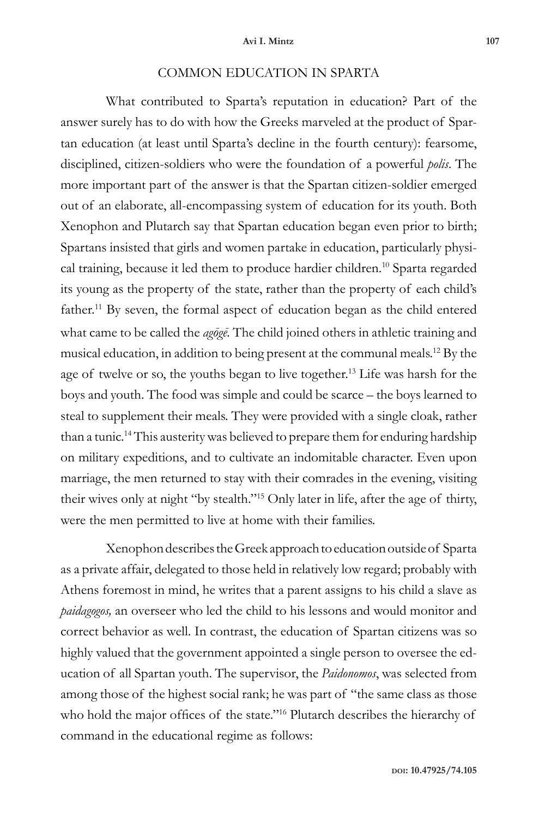## COMMON EDUCATION IN SPARTA

What contributed to Sparta's reputation in education? Part of the answer surely has to do with how the Greeks marveled at the product of Spartan education (at least until Sparta's decline in the fourth century): fearsome, disciplined, citizen-soldiers who were the foundation of a powerful *polis*. The more important part of the answer is that the Spartan citizen-soldier emerged out of an elaborate, all-encompassing system of education for its youth. Both Xenophon and Plutarch say that Spartan education began even prior to birth; Spartans insisted that girls and women partake in education, particularly physical training, because it led them to produce hardier children.10 Sparta regarded its young as the property of the state, rather than the property of each child's father.<sup>11</sup> By seven, the formal aspect of education began as the child entered what came to be called the *agōgē.* The child joined others in athletic training and musical education, in addition to being present at the communal meals.12 By the age of twelve or so, the youths began to live together.13 Life was harsh for the boys and youth. The food was simple and could be scarce – the boys learned to steal to supplement their meals. They were provided with a single cloak, rather than a tunic.<sup>14</sup> This austerity was believed to prepare them for enduring hardship on military expeditions, and to cultivate an indomitable character. Even upon marriage, the men returned to stay with their comrades in the evening, visiting their wives only at night "by stealth."15 Only later in life, after the age of thirty, were the men permitted to live at home with their families.

Xenophon describes the Greek approach to education outside of Sparta as a private affair, delegated to those held in relatively low regard; probably with Athens foremost in mind, he writes that a parent assigns to his child a slave as *paidagogos,* an overseer who led the child to his lessons and would monitor and correct behavior as well. In contrast, the education of Spartan citizens was so highly valued that the government appointed a single person to oversee the education of all Spartan youth. The supervisor, the *Paidonomos*, was selected from among those of the highest social rank; he was part of "the same class as those who hold the major offices of the state."<sup>16</sup> Plutarch describes the hierarchy of command in the educational regime as follows: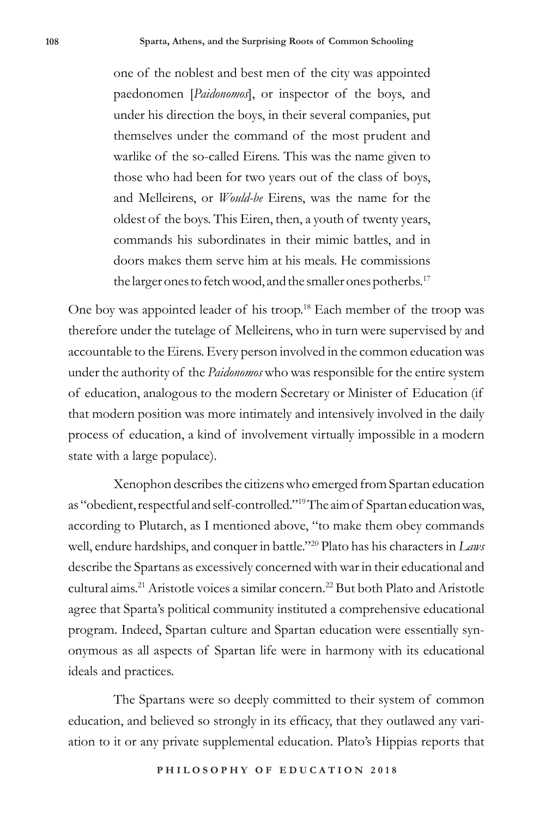one of the noblest and best men of the city was appointed paedonomen [*Paidonomos*], or inspector of the boys, and under his direction the boys, in their several companies, put themselves under the command of the most prudent and warlike of the so-called Eirens. This was the name given to those who had been for two years out of the class of boys, and Melleirens, or *Would-be* Eirens, was the name for the oldest of the boys. This Eiren, then, a youth of twenty years, commands his subordinates in their mimic battles, and in doors makes them serve him at his meals. He commissions the larger ones to fetch wood, and the smaller ones potherbs.<sup>17</sup>

One boy was appointed leader of his troop.18 Each member of the troop was therefore under the tutelage of Melleirens, who in turn were supervised by and accountable to the Eirens. Every person involved in the common education was under the authority of the *Paidonomos* who was responsible for the entire system of education, analogous to the modern Secretary or Minister of Education (if that modern position was more intimately and intensively involved in the daily process of education, a kind of involvement virtually impossible in a modern state with a large populace).

Xenophon describes the citizens who emerged from Spartan education as "obedient, respectful and self-controlled."19 The aim of Spartan education was, according to Plutarch, as I mentioned above, "to make them obey commands well, endure hardships, and conquer in battle."20 Plato has his characters in *Laws*  describe the Spartans as excessively concerned with war in their educational and cultural aims.<sup>21</sup> Aristotle voices a similar concern.<sup>22</sup> But both Plato and Aristotle agree that Sparta's political community instituted a comprehensive educational program. Indeed, Spartan culture and Spartan education were essentially synonymous as all aspects of Spartan life were in harmony with its educational ideals and practices.

The Spartans were so deeply committed to their system of common education, and believed so strongly in its efficacy, that they outlawed any variation to it or any private supplemental education. Plato's Hippias reports that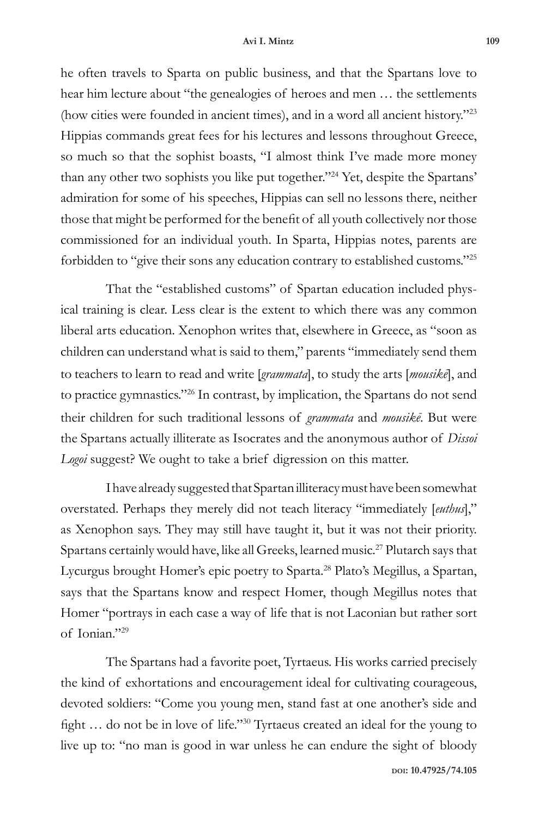#### **Avi I. Mintz 109**

he often travels to Sparta on public business, and that the Spartans love to hear him lecture about "the genealogies of heroes and men … the settlements (how cities were founded in ancient times), and in a word all ancient history."23 Hippias commands great fees for his lectures and lessons throughout Greece, so much so that the sophist boasts, "I almost think I've made more money than any other two sophists you like put together."24 Yet, despite the Spartans' admiration for some of his speeches, Hippias can sell no lessons there, neither those that might be performed for the benefit of all youth collectively nor those commissioned for an individual youth. In Sparta, Hippias notes, parents are forbidden to "give their sons any education contrary to established customs."25

That the "established customs" of Spartan education included physical training is clear. Less clear is the extent to which there was any common liberal arts education. Xenophon writes that, elsewhere in Greece, as "soon as children can understand what is said to them," parents "immediately send them to teachers to learn to read and write [*grammata*], to study the arts [*mousikē*], and to practice gymnastics."26 In contrast, by implication, the Spartans do not send their children for such traditional lessons of *grammata* and *mousikē*. But were the Spartans actually illiterate as Isocrates and the anonymous author of *Dissoi Logoi* suggest? We ought to take a brief digression on this matter.

I have already suggested that Spartan illiteracy must have been somewhat overstated. Perhaps they merely did not teach literacy "immediately [*euthus*]," as Xenophon says. They may still have taught it, but it was not their priority. Spartans certainly would have, like all Greeks, learned music.<sup>27</sup> Plutarch says that Lycurgus brought Homer's epic poetry to Sparta.28 Plato's Megillus, a Spartan, says that the Spartans know and respect Homer, though Megillus notes that Homer "portrays in each case a way of life that is not Laconian but rather sort of Ionian."29

The Spartans had a favorite poet, Tyrtaeus. His works carried precisely the kind of exhortations and encouragement ideal for cultivating courageous, devoted soldiers: "Come you young men, stand fast at one another's side and fight … do not be in love of life."30 Tyrtaeus created an ideal for the young to live up to: "no man is good in war unless he can endure the sight of bloody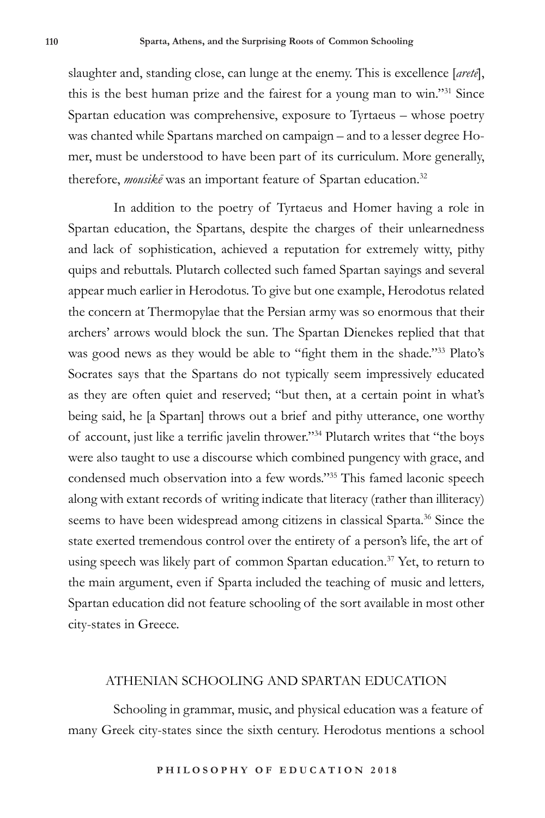slaughter and, standing close, can lunge at the enemy. This is excellence [*aretē*], this is the best human prize and the fairest for a young man to win."31 Since Spartan education was comprehensive, exposure to Tyrtaeus – whose poetry was chanted while Spartans marched on campaign – and to a lesser degree Homer, must be understood to have been part of its curriculum. More generally, therefore, *mousikē* was an important feature of Spartan education.32

In addition to the poetry of Tyrtaeus and Homer having a role in Spartan education, the Spartans, despite the charges of their unlearnedness and lack of sophistication, achieved a reputation for extremely witty, pithy quips and rebuttals. Plutarch collected such famed Spartan sayings and several appear much earlier in Herodotus. To give but one example, Herodotus related the concern at Thermopylae that the Persian army was so enormous that their archers' arrows would block the sun. The Spartan Dienekes replied that that was good news as they would be able to "fight them in the shade."33 Plato's Socrates says that the Spartans do not typically seem impressively educated as they are often quiet and reserved; "but then, at a certain point in what's being said, he [a Spartan] throws out a brief and pithy utterance, one worthy of account, just like a terrific javelin thrower."34 Plutarch writes that "the boys were also taught to use a discourse which combined pungency with grace, and condensed much observation into a few words."35 This famed laconic speech along with extant records of writing indicate that literacy (rather than illiteracy) seems to have been widespread among citizens in classical Sparta.<sup>36</sup> Since the state exerted tremendous control over the entirety of a person's life, the art of using speech was likely part of common Spartan education.<sup>37</sup> Yet, to return to the main argument, even if Sparta included the teaching of music and letters*,*  Spartan education did not feature schooling of the sort available in most other city-states in Greece.

# ATHENIAN SCHOOLING AND SPARTAN EDUCATION

Schooling in grammar, music, and physical education was a feature of many Greek city-states since the sixth century. Herodotus mentions a school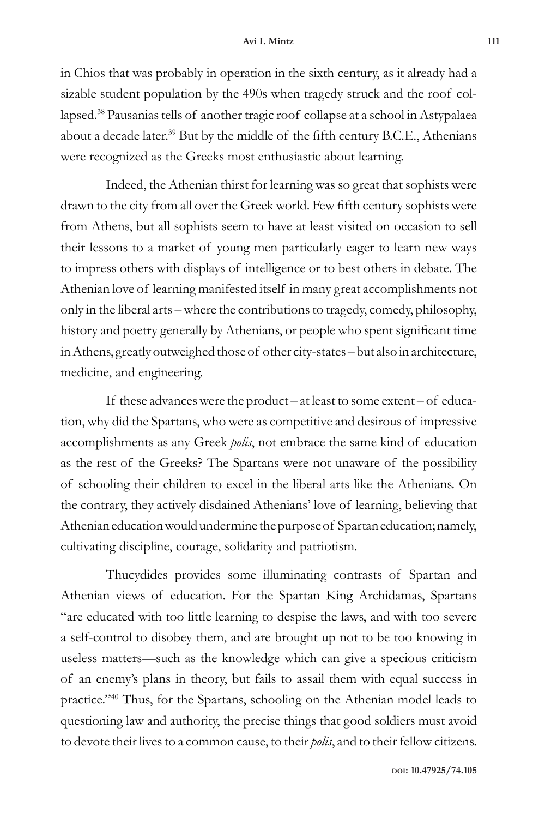in Chios that was probably in operation in the sixth century, as it already had a sizable student population by the 490s when tragedy struck and the roof collapsed.38 Pausanias tells of another tragic roof collapse at a school in Astypalaea about a decade later.<sup>39</sup> But by the middle of the fifth century B.C.E., Athenians were recognized as the Greeks most enthusiastic about learning.

Indeed, the Athenian thirst for learning was so great that sophists were drawn to the city from all over the Greek world. Few fifth century sophists were from Athens, but all sophists seem to have at least visited on occasion to sell their lessons to a market of young men particularly eager to learn new ways to impress others with displays of intelligence or to best others in debate. The Athenian love of learning manifested itself in many great accomplishments not only in the liberal arts – where the contributions to tragedy, comedy, philosophy, history and poetry generally by Athenians, or people who spent significant time in Athens, greatly outweighed those of other city-states – but also in architecture, medicine, and engineering.

If these advances were the product – at least to some extent – of education, why did the Spartans, who were as competitive and desirous of impressive accomplishments as any Greek *polis*, not embrace the same kind of education as the rest of the Greeks? The Spartans were not unaware of the possibility of schooling their children to excel in the liberal arts like the Athenians. On the contrary, they actively disdained Athenians' love of learning, believing that Athenian education would undermine the purpose of Spartan education; namely, cultivating discipline, courage, solidarity and patriotism.

Thucydides provides some illuminating contrasts of Spartan and Athenian views of education. For the Spartan King Archidamas, Spartans "are educated with too little learning to despise the laws, and with too severe a self-control to disobey them, and are brought up not to be too knowing in useless matters—such as the knowledge which can give a specious criticism of an enemy's plans in theory, but fails to assail them with equal success in practice."40 Thus, for the Spartans, schooling on the Athenian model leads to questioning law and authority, the precise things that good soldiers must avoid to devote their lives to a common cause, to their *polis*, and to their fellow citizens.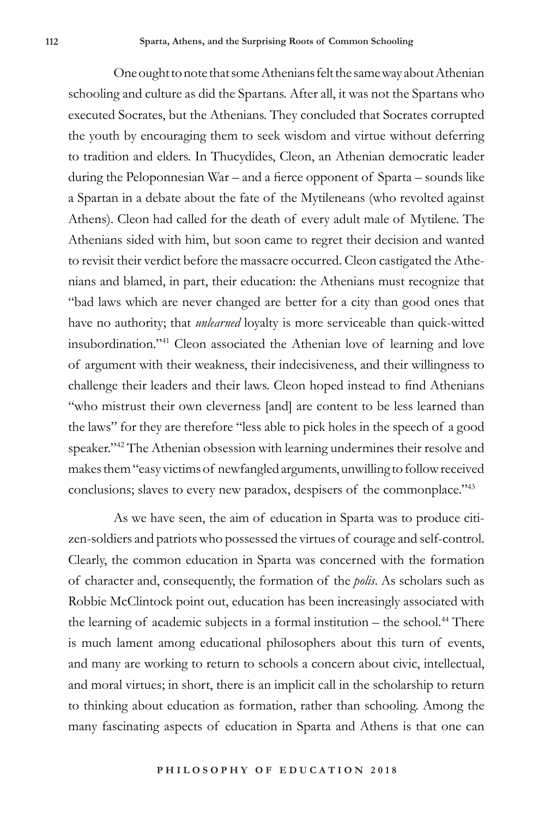One ought to note that some Athenians felt the same way about Athenian schooling and culture as did the Spartans. After all, it was not the Spartans who executed Socrates, but the Athenians. They concluded that Socrates corrupted the youth by encouraging them to seek wisdom and virtue without deferring to tradition and elders. In Thucydides, Cleon, an Athenian democratic leader during the Peloponnesian War – and a fierce opponent of Sparta – sounds like a Spartan in a debate about the fate of the Mytileneans (who revolted against Athens). Cleon had called for the death of every adult male of Mytilene. The Athenians sided with him, but soon came to regret their decision and wanted to revisit their verdict before the massacre occurred. Cleon castigated the Athenians and blamed, in part, their education: the Athenians must recognize that "bad laws which are never changed are better for a city than good ones that have no authority; that *unlearned* loyalty is more serviceable than quick-witted insubordination."41 Cleon associated the Athenian love of learning and love of argument with their weakness, their indecisiveness, and their willingness to challenge their leaders and their laws. Cleon hoped instead to find Athenians "who mistrust their own cleverness [and] are content to be less learned than the laws" for they are therefore "less able to pick holes in the speech of a good speaker."42 The Athenian obsession with learning undermines their resolve and makes them "easy victims of newfangled arguments, unwilling to follow received conclusions; slaves to every new paradox, despisers of the commonplace."43

As we have seen, the aim of education in Sparta was to produce citizen-soldiers and patriots who possessed the virtues of courage and self-control. Clearly, the common education in Sparta was concerned with the formation of character and, consequently, the formation of the *polis*. As scholars such as Robbie McClintock point out, education has been increasingly associated with the learning of academic subjects in a formal institution  $-$  the school.<sup>44</sup> There is much lament among educational philosophers about this turn of events, and many are working to return to schools a concern about civic, intellectual, and moral virtues; in short, there is an implicit call in the scholarship to return to thinking about education as formation, rather than schooling. Among the many fascinating aspects of education in Sparta and Athens is that one can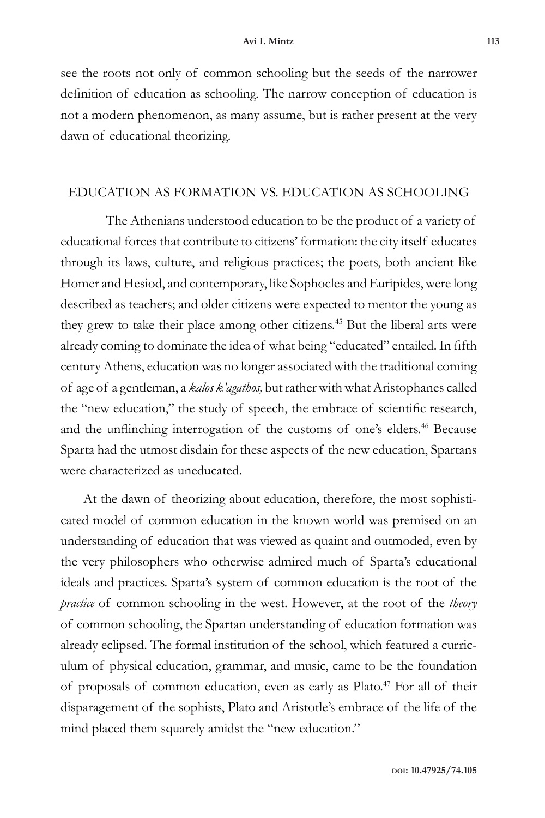see the roots not only of common schooling but the seeds of the narrower definition of education as schooling. The narrow conception of education is not a modern phenomenon, as many assume, but is rather present at the very dawn of educational theorizing.

# EDUCATION AS FORMATION VS. EDUCATION AS SCHOOLING

The Athenians understood education to be the product of a variety of educational forces that contribute to citizens' formation: the city itself educates through its laws, culture, and religious practices; the poets, both ancient like Homer and Hesiod, and contemporary, like Sophocles and Euripides, were long described as teachers; and older citizens were expected to mentor the young as they grew to take their place among other citizens.<sup>45</sup> But the liberal arts were already coming to dominate the idea of what being "educated" entailed. In fifth century Athens, education was no longer associated with the traditional coming of age of a gentleman, a *kalos k'agathos,* but rather with what Aristophanes called the "new education," the study of speech, the embrace of scientific research, and the unflinching interrogation of the customs of one's elders.<sup>46</sup> Because Sparta had the utmost disdain for these aspects of the new education, Spartans were characterized as uneducated.

At the dawn of theorizing about education, therefore, the most sophisticated model of common education in the known world was premised on an understanding of education that was viewed as quaint and outmoded, even by the very philosophers who otherwise admired much of Sparta's educational ideals and practices. Sparta's system of common education is the root of the *practice* of common schooling in the west. However, at the root of the *theory*  of common schooling, the Spartan understanding of education formation was already eclipsed. The formal institution of the school, which featured a curriculum of physical education, grammar, and music, came to be the foundation of proposals of common education, even as early as Plato.47 For all of their disparagement of the sophists, Plato and Aristotle's embrace of the life of the mind placed them squarely amidst the "new education."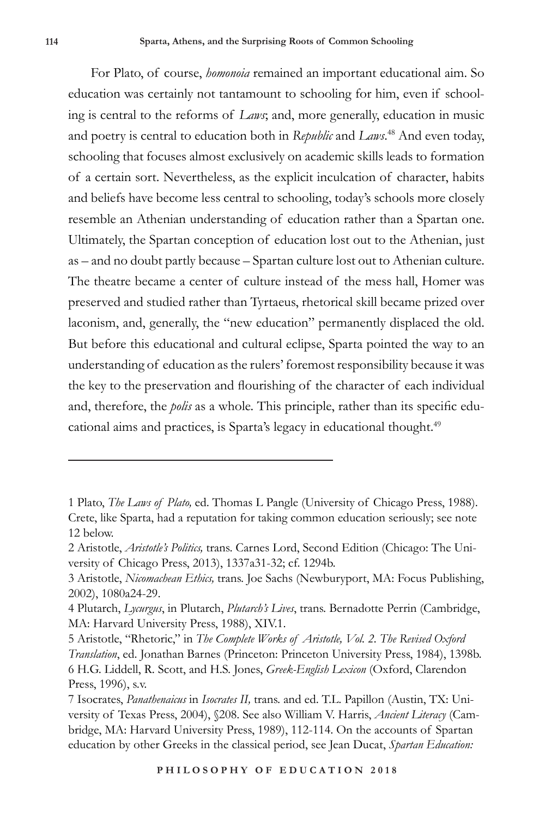For Plato, of course, *homonoia* remained an important educational aim. So education was certainly not tantamount to schooling for him, even if schooling is central to the reforms of *Laws*; and, more generally, education in music and poetry is central to education both in *Republic* and *Laws*. 48 And even today, schooling that focuses almost exclusively on academic skills leads to formation of a certain sort. Nevertheless, as the explicit inculcation of character, habits and beliefs have become less central to schooling, today's schools more closely resemble an Athenian understanding of education rather than a Spartan one. Ultimately, the Spartan conception of education lost out to the Athenian, just as – and no doubt partly because – Spartan culture lost out to Athenian culture. The theatre became a center of culture instead of the mess hall, Homer was preserved and studied rather than Tyrtaeus, rhetorical skill became prized over laconism, and, generally, the "new education" permanently displaced the old. But before this educational and cultural eclipse, Sparta pointed the way to an understanding of education as the rulers' foremost responsibility because it was the key to the preservation and flourishing of the character of each individual and, therefore, the *polis* as a whole. This principle, rather than its specific educational aims and practices, is Sparta's legacy in educational thought.<sup>49</sup>

<sup>1</sup> Plato, *The Laws of Plato,* ed. Thomas L Pangle (University of Chicago Press, 1988). Crete, like Sparta, had a reputation for taking common education seriously; see note 12 below.

<sup>2</sup> Aristotle, *Aristotle's Politics,* trans. Carnes Lord, Second Edition (Chicago: The University of Chicago Press, 2013), 1337a31-32; cf. 1294b.

<sup>3</sup> Aristotle, *Nicomachean Ethics,* trans. Joe Sachs (Newburyport, MA: Focus Publishing, 2002), 1080a24-29.

<sup>4</sup> Plutarch, *Lycurgus*, in Plutarch, *Plutarch's Lives*, trans. Bernadotte Perrin (Cambridge, MA: Harvard University Press, 1988), XIV.1.

<sup>5</sup> Aristotle, "Rhetoric," in *The Complete Works of Aristotle, Vol. 2. The Revised Oxford Translation*, ed. Jonathan Barnes (Princeton: Princeton University Press, 1984), 1398b. 6 H.G. Liddell, R. Scott, and H.S. Jones, *Greek-English Lexicon* (Oxford, Clarendon Press, 1996), s.v.

<sup>7</sup> Isocrates, *Panathenaicus* in *Isocrates II,* trans. and ed. T.L. Papillon (Austin, TX: University of Texas Press, 2004), §208. See also William V. Harris, *Ancient Literacy* (Cambridge, MA: Harvard University Press, 1989), 112-114. On the accounts of Spartan education by other Greeks in the classical period, see Jean Ducat, *Spartan Education:*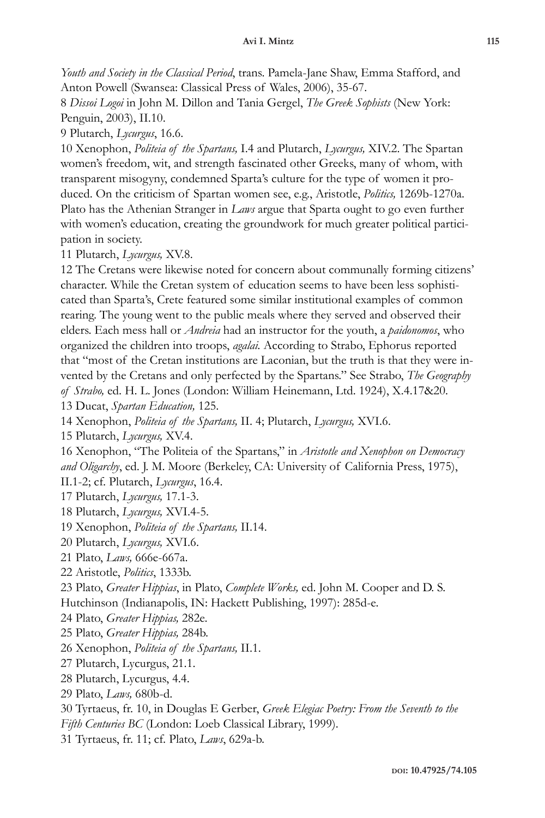*Youth and Society in the Classical Period*, trans. Pamela-Jane Shaw, Emma Stafford, and Anton Powell (Swansea: Classical Press of Wales, 2006), 35-67.

8 *Dissoi Logoi* in John M. Dillon and Tania Gergel, *The Greek Sophists* (New York: Penguin, 2003), II.10.

9 Plutarch, *Lycurgus*, 16.6.

10 Xenophon, *Politeia of the Spartans,* I.4 and Plutarch, *Lycurgus,* XIV.2. The Spartan women's freedom, wit, and strength fascinated other Greeks, many of whom, with transparent misogyny, condemned Sparta's culture for the type of women it produced. On the criticism of Spartan women see, e.g., Aristotle, *Politics,* 1269b-1270a. Plato has the Athenian Stranger in *Laws* argue that Sparta ought to go even further with women's education, creating the groundwork for much greater political participation in society.

11 Plutarch, *Lycurgus,* XV.8.

12 The Cretans were likewise noted for concern about communally forming citizens' character. While the Cretan system of education seems to have been less sophisticated than Sparta's, Crete featured some similar institutional examples of common rearing. The young went to the public meals where they served and observed their elders. Each mess hall or *Andreia* had an instructor for the youth, a *paidonomos*, who organized the children into troops, *agalai.* According to Strabo, Ephorus reported that "most of the Cretan institutions are Laconian, but the truth is that they were invented by the Cretans and only perfected by the Spartans." See Strabo, *The Geography of Strabo,* ed. H. L. Jones (London: William Heinemann, Ltd. 1924), X.4.17&20.

13 Ducat, *Spartan Education,* 125.

14 Xenophon, *Politeia of the Spartans,* II. 4; Plutarch, *Lycurgus,* XVI.6.

15 Plutarch, *Lycurgus,* XV.4.

16 Xenophon, "The Politeia of the Spartans," in *Aristotle and Xenophon on Democracy and Oligarchy*, ed. J. M. Moore (Berkeley, CA: University of California Press, 1975), II.1-2; cf. Plutarch, *Lycurgus*, 16.4.

17 Plutarch, *Lycurgus,* 17.1-3.

18 Plutarch, *Lycurgus,* XVI.4-5.

19 Xenophon, *Politeia of the Spartans,* II.14.

20 Plutarch, *Lycurgus,* XVI.6.

21 Plato, *Laws,* 666e-667a.

22 Aristotle, *Politics*, 1333b.

23 Plato, *Greater Hippias*, in Plato, *Complete Works,* ed. John M. Cooper and D. S.

Hutchinson (Indianapolis, IN: Hackett Publishing, 1997): 285d-e.

24 Plato, *Greater Hippias,* 282e.

25 Plato, *Greater Hippias,* 284b.

26 Xenophon, *Politeia of the Spartans,* II.1.

27 Plutarch, Lycurgus, 21.1.

28 Plutarch, Lycurgus, 4.4.

29 Plato, *Laws,* 680b-d.

30 Tyrtaeus, fr. 10, in Douglas E Gerber, *Greek Elegiac Poetry: From the Seventh to the* 

*Fifth Centuries BC* (London: Loeb Classical Library, 1999).

31 Tyrtaeus, fr. 11; cf. Plato, *Laws*, 629a-b.